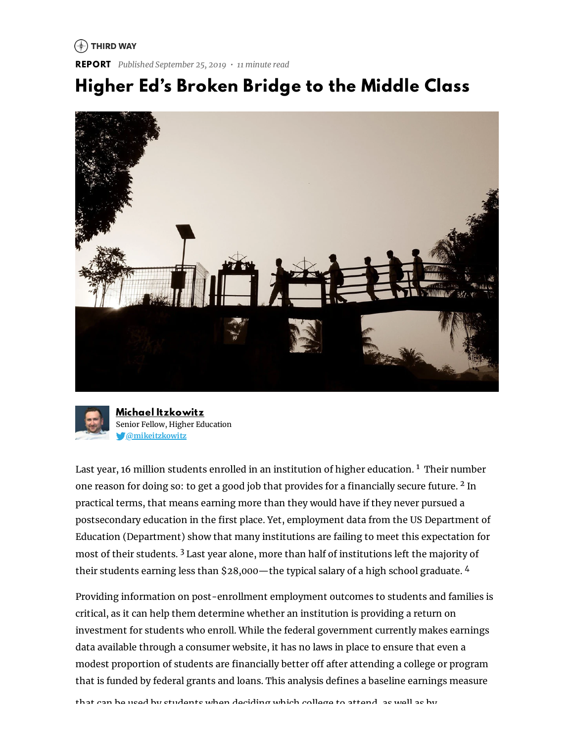#### $(*)$  THIRD WAY

**REPORT** *Published September 25, 2019 • 11 minute read*

## **Higher Ed's Broken Bridge to the Middle Class**





**Michael [Itzkowitz](https://www.thirdway.org/about/staff/michael-itzkowitz)** Senior Fellow, Higher Education **[@mikeitzkowitz](https://www.twitter.com/mikeitzkowitz)**

Last year, 16 million students enrolled in an institution of higher education. <sup>1</sup> Their number one reason for doing so: to get a good job that provides for a financially secure future.  $2$  In practical terms, that means earning more than they would have if they never pursued a postsecondary education in the first place. Yet, employment data from the US Department of Education (Department) show that many institutions are failing to meet this expectation for most of their students. <sup>3</sup> Last year alone, more than half of institutions left the majority of their students earning less than \$28,000—the typical salary of a high school graduate. 4

Providing information on post-enrollment employment outcomes to students and families is critical, as it can help them determine whether an institution is providing a return on investment for students who enroll. While the federal government currently makes earnings data available through a consumer website, it has no laws in place to ensure that even a modest proportion of students are financially better off after attending a college or program that is funded by federal grants and loans. This analysis defines a baseline earnings measure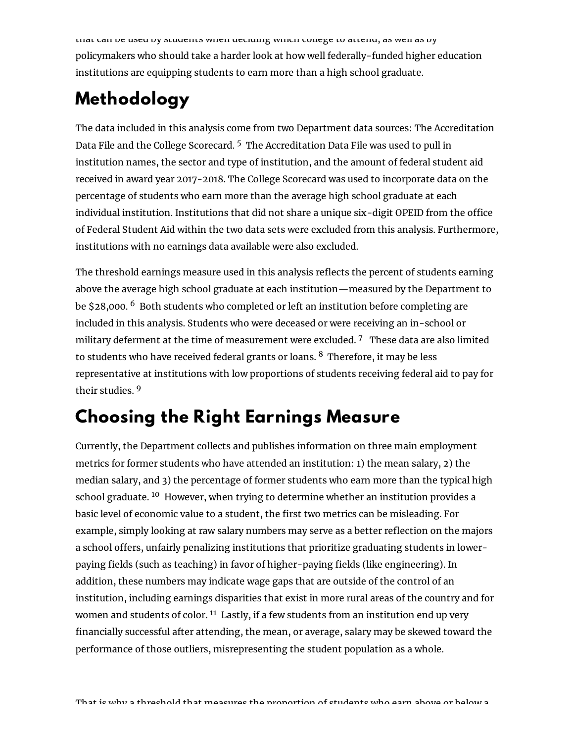that can be used by students when deciding which college to attend, as well as by policymakers who should take a harder look at how well federally-funded higher education institutions are equipping students to earn more than a high school graduate.

# **Methodology**

The data included in this analysis come from two Department data sources: The Accreditation Data File and the College Scorecard. <sup>5</sup> The Accreditation Data File was used to pull in institution names, the sector and type of institution, and the amount of federal student aid received in award year 2017-2018. The College Scorecard was used to incorporate data on the percentage of students who earn more than the average high school graduate at each individual institution. Institutions that did not share a unique six-digit OPEID from the office of Federal Student Aid within the two data sets were excluded from this analysis. Furthermore, institutions with no earnings data available were also excluded.

The threshold earnings measure used in this analysis reflects the percent of students earning above the average high school graduate at each institution—measured by the Department to be \$28,000. <sup>6</sup> Both students who completed or left an institution before completing are included in this analysis. Students who were deceased or were receiving an in-school or military deferment at the time of measurement were excluded. <sup>7</sup> These data are also limited to students who have received federal grants or loans.  $8\,$  Therefore, it may be less representative at institutions with low proportions of students receiving federal aid to pay for their studies. <sup>9</sup>

## **Choosing the Right Earnings Measure**

Currently, the Department collects and publishes information on three main employment metrics for former students who have attended an institution: 1) the mean salary, 2) the median salary, and 3) the percentage of former students who earn more than the typical high school graduate. <sup>10</sup> However, when trying to determine whether an institution provides a basic level of economic value to a student, the first two metrics can be misleading. For example, simply looking at raw salary numbers may serve as a better reflection on the majors a school offers, unfairly penalizing institutions that prioritize graduating students in lowerpaying fields (such as teaching) in favor of higher-paying fields (like engineering). In addition, these numbers may indicate wage gaps that are outside of the control of an institution, including earnings disparities that exist in more rural areas of the country and for women and students of color. <sup>11</sup> Lastly, if a few students from an institution end up very financially successful after attending, the mean, or average, salary may be skewed toward the performance of those outliers, misrepresenting the student population as a whole.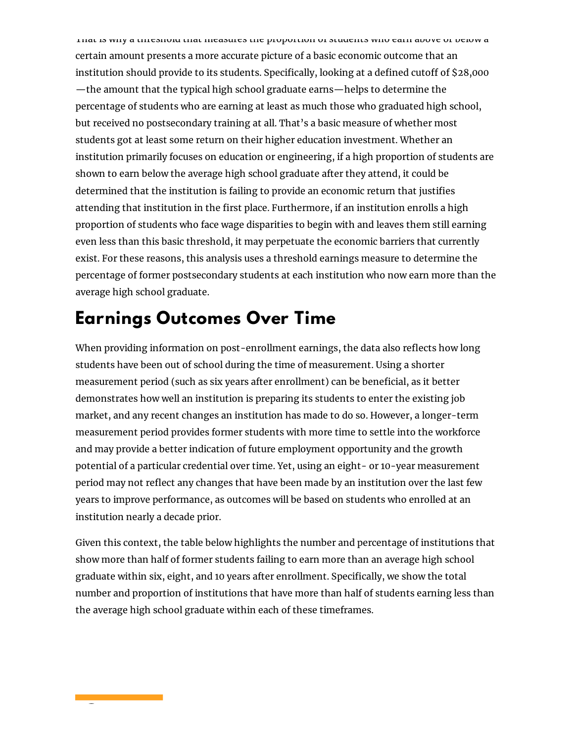That is why a threshold that measures the proportion of students who earn above or below a certain amount presents a more accurate picture of a basic economic outcome that an institution should provide to its students. Specifically, looking at a defined cutoff of \$28,000 —the amount that the typical high school graduate earns—helps to determine the percentage of students who are earning at least as much those who graduated high school, but received no postsecondary training at all. That's a basic measure of whether most students got at least some return on their higher education investment. Whether an institution primarily focuses on education or engineering, if a high proportion of students are shown to earn below the average high school graduate after they attend, it could be determined that the institution is failing to provide an economic return that justifies attending that institution in the first place. Furthermore, if an institution enrolls a high proportion of students who face wage disparities to begin with and leaves them still earning even less than this basic threshold, it may perpetuate the economic barriers that currently exist. For these reasons, this analysis uses a threshold earnings measure to determine the percentage of former postsecondary students at each institution who now earn more than the average high school graduate.

### **Earnings Outcomes Over Time**

When providing information on post-enrollment earnings, the data also reflects how long students have been out of school during the time of measurement. Using a shorter measurement period (such as six years after enrollment) can be beneficial, as it better demonstrates how well an institution is preparing its students to enter the existing job market, and any recent changes an institution has made to do so. However, a longer-term measurement period provides former students with more time to settle into the workforce and may provide a better indication of future employment opportunity and the growth potential of a particular credential over time. Yet, using an eight- or 10-year measurement period may not reflect any changes that have been made by an institution over the last few years to improve performance, as outcomes will be based on students who enrolled at an institution nearly a decade prior.

Given this context, the table below highlights the number and percentage of institutions that show more than half of former students failing to earn more than an average high school graduate within six, eight, and 10 years after enrollment. Specifically, we show the total number and proportion of institutions that have more than half of students earning less than the average high school graduate within each of these timeframes.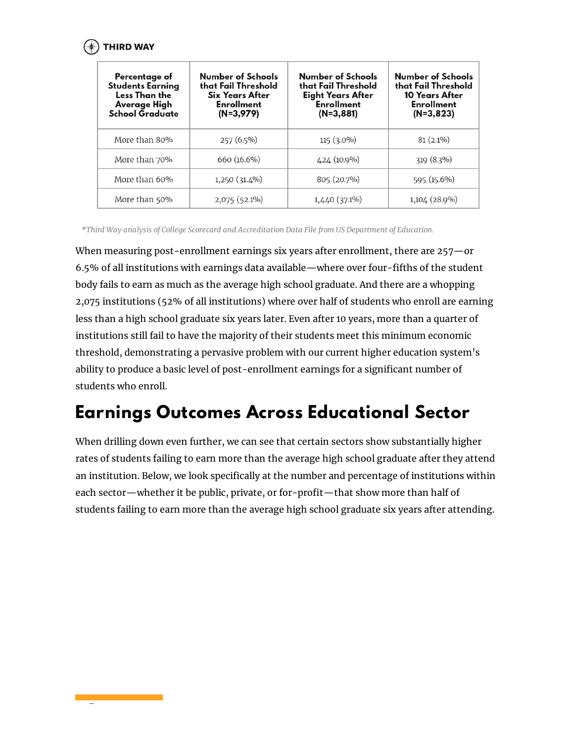

| Percentage of<br><b>Students Earning</b><br>Less Than the<br>Average High<br><b>School Graduate</b> | Number of Schools<br>that Fail Threshold<br><b>Six Years After</b><br><b>Enrollment</b><br>$(N=3,979)$ | Number of Schools<br>that Fail Threshold<br><b>Eight Years After</b><br><b>Enrollment</b><br>$(N=3,881)$ | Number of Schools<br>that Fail Threshold<br><b>10 Years After</b><br><b>Enrollment</b><br>$(N=3,823)$ |
|-----------------------------------------------------------------------------------------------------|--------------------------------------------------------------------------------------------------------|----------------------------------------------------------------------------------------------------------|-------------------------------------------------------------------------------------------------------|
| More than 80%                                                                                       | $257(6.5\%)$                                                                                           | $115(3.0\%)$                                                                                             | $81(2.1\%)$                                                                                           |
| More than 70%                                                                                       | 660 (16.6%)                                                                                            | 424 (10.9%)                                                                                              | 319 (8.3%)                                                                                            |
| More than 60%                                                                                       | 1,250 (31.4%)                                                                                          | 805 (20.7%)                                                                                              | 595 (15.6%)                                                                                           |
| More than 50%                                                                                       | 2,075 (52.1%)                                                                                          | $1,440(37.1\%)$                                                                                          | 1,104 (28.9%)                                                                                         |

When measuring post-enrollment earnings six years after enrollment, there are 257—or 6.5% of all institutions with earnings data available—where over four-fifths of the student body fails to earn as much as the average high school graduate. And there are a whopping 2,075 institutions (52% of all institutions) where over half of students who enroll are earning less than a high school graduate six years later. Even after 10 years, more than a quarter of institutions still fail to have the majority of their students meet this minimum economic threshold, demonstrating a pervasive problem with our current higher education system's ability to produce a basic level of post-enrollment earnings for a significant number of students who enroll.

#### **Earnings Outcomes Across Educational Sector**

When drilling down even further, we can see that certain sectors show substantially higher rates of students failing to earn more than the average high school graduate after they attend an institution. Below, we look specifically at the number and percentage of institutions within each sector—whether it be public, private, or for-profit—that show more than half of students failing to earn more than the average high school graduate six years after attending.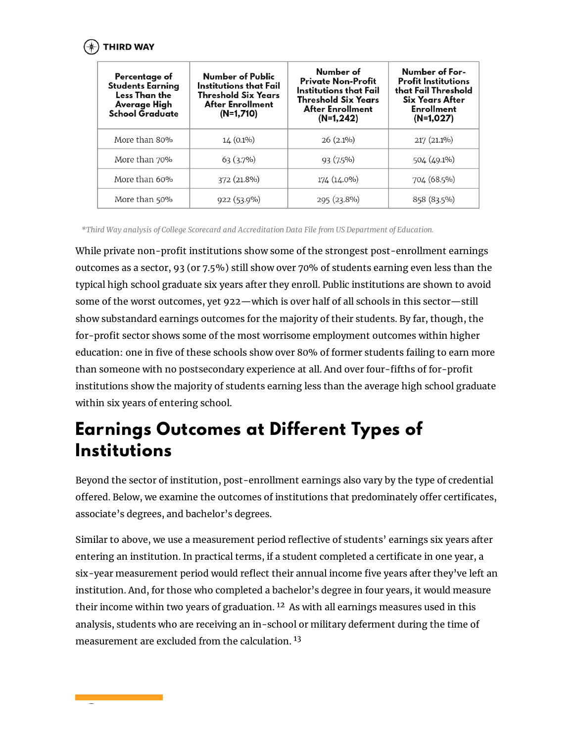

| Percentage of<br><b>Students Earning</b><br>Less Than the<br>Average High<br>School Graduate | Number of Public<br>Institutions that Fail<br><b>Threshold Six Years</b><br><b>After Enrollment</b><br>$(N=1,710)$ | Number of<br><b>Private Non-Profit</b><br>Institutions that Fail<br><b>Threshold Six Years</b><br><b>After Enrollment</b><br>$(N=1, 242)$ | Number of For-<br><b>Profit Institutions</b><br>that Fail Threshold<br><b>Six Years After</b><br><b>Enrollment</b><br>$(N=1,027)$ |
|----------------------------------------------------------------------------------------------|--------------------------------------------------------------------------------------------------------------------|-------------------------------------------------------------------------------------------------------------------------------------------|-----------------------------------------------------------------------------------------------------------------------------------|
| More than 80%                                                                                | $14(0.1\%)$                                                                                                        | $26(2.1\%)$                                                                                                                               | $217(21.1\%)$                                                                                                                     |
| More than 70%                                                                                | $63(3.7\%)$                                                                                                        | $93(7.5\%)$                                                                                                                               | 504 (49.1%)                                                                                                                       |
| More than 60%                                                                                | 372 (21.8%)                                                                                                        | 174 (14.0%)                                                                                                                               | 704 (68.5%)                                                                                                                       |
| More than 50%                                                                                | $922(53.9\%)$                                                                                                      | 295 (23.8%)                                                                                                                               | 858 (83.5%)                                                                                                                       |

While private non-profit institutions show some of the strongest post-enrollment earnings outcomes as a sector, 93 (or 7.5%) still show over 70% of students earning even less than the typical high school graduate six years after they enroll. Public institutions are shown to avoid some of the worst outcomes, yet 922—which is over half of all schools in this sector—still show substandard earnings outcomes for the majority of their students. By far, though, the for-profit sector shows some of the most worrisome employment outcomes within higher education: one in five of these schools show over 80% of former students failing to earn more than someone with no postsecondary experience at all. And over four-fifths of for-profit institutions show the majority of students earning less than the average high school graduate within six years of entering school.

#### **Earnings Outcomes at Different Types of Institutions**

Beyond the sector of institution, post-enrollment earnings also vary by the type of credential offered. Below, we examine the outcomes of institutions that predominately offer certificates, associate's degrees, and bachelor's degrees.

Similar to above, we use a measurement period reflective of students' earnings six years after entering an institution. In practical terms, if a student completed a certificate in one year, a six-year measurement period would reflect their annual income five years after they've left an institution. And, for those who completed a bachelor's degree in four years, it would measure their income within two years of graduation.  $12$  As with all earnings measures used in this analysis, students who are receiving an in-school or military deferment during the time of measurement are excluded from the calculation. 13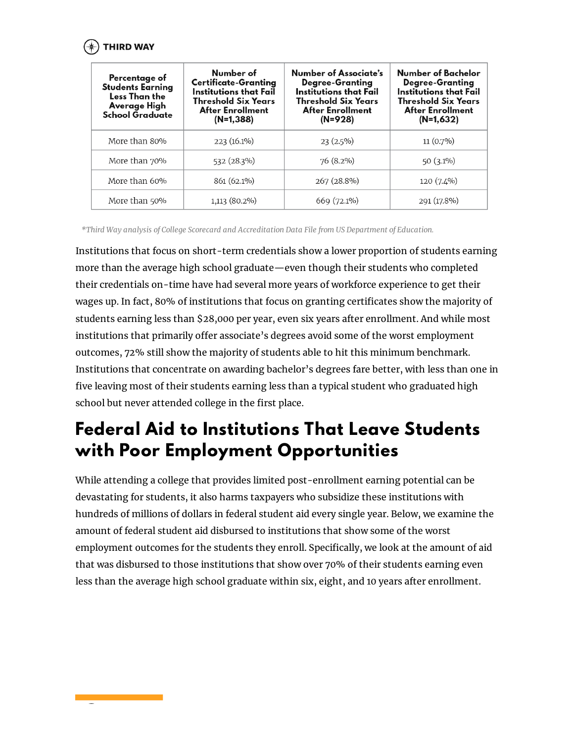

| Percentage of<br><b>Students Earning</b><br>Less Than the<br>Average High<br>School Graduate | Number of<br><b>Certificate-Granting</b><br>Institutions that Fail<br><b>Threshold Six Years</b><br><b>After Enrollment</b><br>$(N=1,388)$ | Number of Associate's<br><b>Degree-Granting</b><br>Institutions that Fail<br><b>Threshold Six Years</b><br><b>After Enrollment</b><br>$(N=928)$ | Number of Bachelor<br><b>Degree-Granting</b><br>Institutions that Fail<br><b>Threshold Six Years</b><br><b>After Enrollment</b><br>$(N=1,632)$ |
|----------------------------------------------------------------------------------------------|--------------------------------------------------------------------------------------------------------------------------------------------|-------------------------------------------------------------------------------------------------------------------------------------------------|------------------------------------------------------------------------------------------------------------------------------------------------|
| More than 80%                                                                                | $223(16.1\%)$                                                                                                                              | $23(2.5\%)$                                                                                                                                     | $11(0.7\%)$                                                                                                                                    |
| More than 70%                                                                                | 532 (28.3%)                                                                                                                                | $76(8.2\%)$                                                                                                                                     | $50(3.1\%)$                                                                                                                                    |
| More than 60%                                                                                | 861 (62.1%)                                                                                                                                | 267 (28.8%)                                                                                                                                     | 120 (7.4%)                                                                                                                                     |
| More than 50%                                                                                | 1,113 (80.2%)                                                                                                                              | 669 (72.1%)                                                                                                                                     | 291 (17.8%)                                                                                                                                    |

Institutions that focus on short-term credentials show a lower proportion of students earning more than the average high school graduate—even though their students who completed their credentials on-time have had several more years of workforce experience to get their wages up. In fact, 80% of institutions that focus on granting certificates show the majority of students earning less than \$28,000 per year, even six years after enrollment. And while most institutions that primarily offer associate's degrees avoid some of the worst employment outcomes, 72% still show the majority of students able to hit this minimum benchmark. Institutions that concentrate on awarding bachelor's degrees fare better, with less than one in five leaving most of their students earning less than a typical student who graduated high school but never attended college in the first place.

## **Federal Aid to Institutions That Leave Students with Poor Employment Opportunities**

While attending a college that provides limited post-enrollment earning potential can be devastating for students, it also harms taxpayers who subsidize these institutions with hundreds of millions of dollars in federal student aid every single year. Below, we examine the amount of federal student aid disbursed to institutions that show some of the worst employment outcomes for the students they enroll. Specifically, we look at the amount of aid that was disbursed to those institutions that show over 70% of their students earning even less than the average high school graduate within six, eight, and 10 years after enrollment.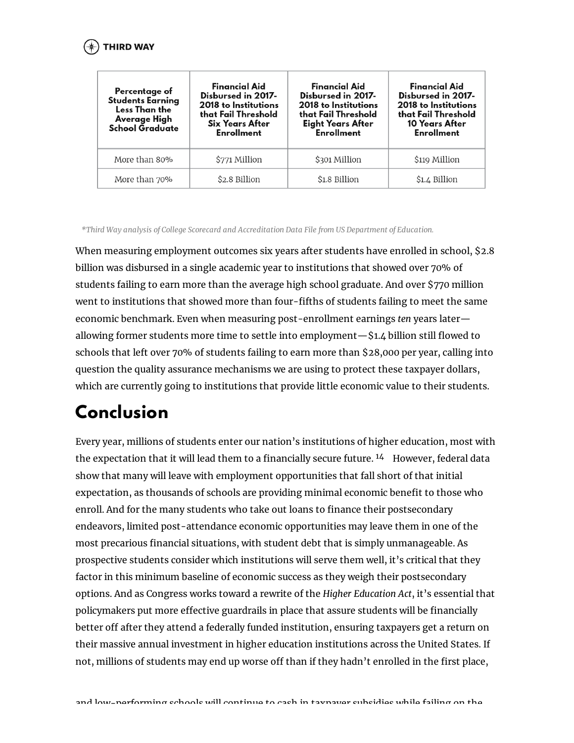| Percentage of<br><b>Students Earning</b><br>Less Than the<br>Average High<br><b>School Graduate</b> | <b>Financial Aid</b><br>Disbursed in 2017-<br>2018 to Institutions<br>that Fail Threshold<br><b>Six Years After</b><br><b>Enrollment</b> | <b>Financial Aid</b><br>Disbursed in 2017-<br>2018 to Institutions<br>that Fail Threshold<br><b>Eight Years After</b><br><b>Enrollment</b> | <b>Financial Aid</b><br>Disbursed in 2017-<br>2018 to Institutions<br>that Fail Threshold<br>10 Years After<br><b>Enrollment</b> |
|-----------------------------------------------------------------------------------------------------|------------------------------------------------------------------------------------------------------------------------------------------|--------------------------------------------------------------------------------------------------------------------------------------------|----------------------------------------------------------------------------------------------------------------------------------|
| More than 80%                                                                                       | \$771 Million                                                                                                                            | \$301 Million                                                                                                                              | \$119 Million                                                                                                                    |
| More than 70%                                                                                       | \$2.8 Billion                                                                                                                            | \$1.8 Billion                                                                                                                              | \$1.4 Billion                                                                                                                    |

When measuring employment outcomes six years after students have enrolled in school, \$2.8 billion was disbursed in a single academic year to institutions that showed over 70% of students failing to earn more than the average high school graduate. And over \$770 million went to institutions that showed more than four-fifths of students failing to meet the same economic benchmark. Even when measuring post-enrollment earnings *ten* years later allowing former students more time to settle into employment—\$1.4 billion still flowed to schools that left over 70% of students failing to earn more than \$28,000 per year, calling into question the quality assurance mechanisms we are using to protect these taxpayer dollars, which are currently going to institutions that provide little economic value to their students.

## **Conclusion**

Every year, millions of students enter our nation's institutions of higher education, most with the expectation that it will lead them to a financially secure future.  $^{14}$  However, federal data show that many will leave with employment opportunities that fall short of that initial expectation, as thousands of schools are providing minimal economic benefit to those who enroll. And for the many students who take out loans to finance their postsecondary endeavors, limited post-attendance economic opportunities may leave them in one of the most precarious financial situations, with student debt that is simply unmanageable. As prospective students consider which institutions will serve them well, it's critical that they factor in this minimum baseline of economic success as they weigh their postsecondary options. And as Congress works toward a rewrite of the *Higher Education Act*, it's essential that policymakers put more effective guardrails in place that assure students will be financially better off after they attend a federally funded institution, ensuring taxpayers get a return on their massive annual investment in higher education institutions across the United States. If not, millions of students may end up worse off than if they hadn't enrolled in the first place,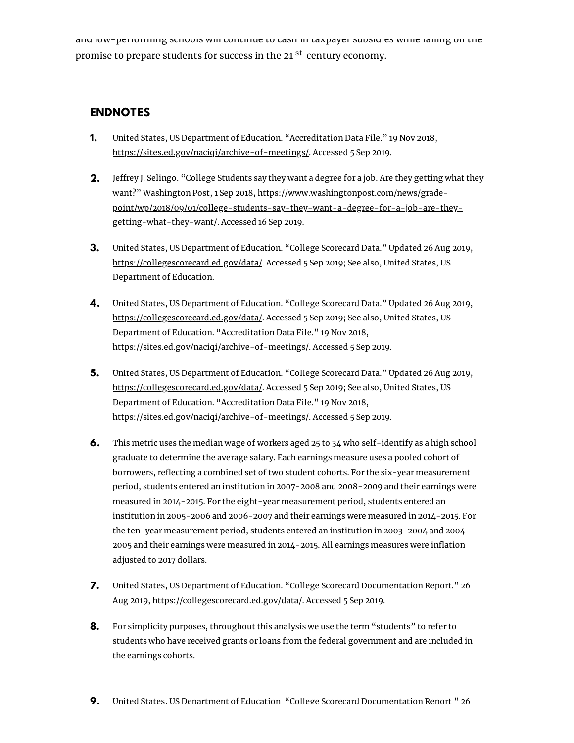and row-berforming schools will continue to cash in taxpayer subsidies while failing on the promise to prepare students for success in the 21 <sup>st</sup> century economy.

#### **ENDNOTES**

- United States, US Department of Education. "Accreditation Data File." 19 Nov 2018, [https://sites.ed.gov/naciqi/archive-of-meetings/.](https://sites.ed.gov/naciqi/archive-of-meetings/) Accessed 5 Sep 2019. **1.**
- **2.** Jeffrey J. Selingo. "College Students say they want a degree for a job. Are they getting what they want?" Washington Post, 1 Sep 2018, https://www.washingtonpost.com/news/grade[point/wp/2018/09/01/college-students-say-they-want-a-degree-for-a-job-are-they](https://www.washingtonpost.com/news/grade-point/wp/2018/09/01/college-students-say-they-want-a-degree-for-a-job-are-they-getting-what-they-want/)getting-what-they-want/. Accessed 16 Sep 2019.
- United States, US Department of Education. "College Scorecard Data." Updated 26 Aug 2019, [https://collegescorecard.ed.gov/data/.](https://collegescorecard.ed.gov/data/) Accessed 5 Sep 2019; See also, United States, US Department of Education. **3.**
- United States, US Department of Education. "College Scorecard Data." Updated 26 Aug 2019, **4.** [https://collegescorecard.ed.gov/data/.](https://collegescorecard.ed.gov/data/) Accessed 5 Sep 2019; See also, United States, US Department of Education. "Accreditation Data File." 19 Nov 2018, [https://sites.ed.gov/naciqi/archive-of-meetings/.](https://sites.ed.gov/naciqi/archive-of-meetings/) Accessed 5 Sep 2019.
- United States, US Department of Education. "College Scorecard Data." Updated 26 Aug 2019, **5.** [https://collegescorecard.ed.gov/data/.](https://collegescorecard.ed.gov/data/) Accessed 5 Sep 2019; See also, United States, US Department of Education. "Accreditation Data File." 19 Nov 2018, [https://sites.ed.gov/naciqi/archive-of-meetings/.](https://sites.ed.gov/naciqi/archive-of-meetings/) Accessed 5 Sep 2019.
- This metric uses the median wage of workers aged 25 to 34 who self-identify as a high school graduate to determine the average salary. Each earnings measure uses a pooled cohort of borrowers, reflecting a combined set of two student cohorts. For the six-year measurement period, students entered an institution in 2007-2008 and 2008-2009 and their earnings were measured in 2014-2015. For the eight-year measurement period, students entered an institution in 2005-2006 and 2006-2007 and their earnings were measured in 2014-2015. For the ten-year measurement period, students entered an institution in 2003-2004 and 2004- 2005 and their earnings were measured in 2014-2015. All earnings measures were inflation adjusted to 2017 dollars. **6.**
- United States, US Department of Education. "College Scorecard Documentation Report." 26 Aug 2019, <https://collegescorecard.ed.gov/data/>. Accessed 5 Sep 2019. **7.**
- For simplicity purposes, throughout this analysis we use the term "students" to refer to students who have received grants or loans from the federal government and are included in the earnings cohorts. **8.**